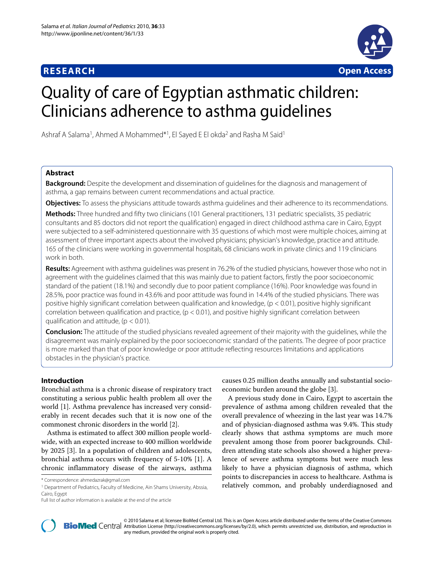

# Quality of care of Egyptian asthmatic children: Clinicians adherence to asthma guidelines

Ashraf A Salama<sup>1</sup>, Ahmed A Mohammed<sup>\*1</sup>, El Sayed E El okda<sup>2</sup> and Rasha M Said<sup>1</sup>

# **Abstract**

**Background:** Despite the development and dissemination of guidelines for the diagnosis and management of asthma, a gap remains between current recommendations and actual practice.

**Objectives:** To assess the physicians attitude towards asthma guidelines and their adherence to its recommendations.

**Methods:** Three hundred and fifty two clinicians (101 General practitioners, 131 pediatric specialists, 35 pediatric consultants and 85 doctors did not report the qualification) engaged in direct childhood asthma care in Cairo, Egypt were subjected to a self-administered questionnaire with 35 questions of which most were multiple choices, aiming at assessment of three important aspects about the involved physicians; physician's knowledge, practice and attitude. 165 of the clinicians were working in governmental hospitals, 68 clinicians work in private clinics and 119 clinicians work in both.

**Results:** Agreement with asthma guidelines was present in 76.2% of the studied physicians, however those who not in agreement with the guidelines claimed that this was mainly due to patient factors, firstly the poor socioeconomic standard of the patient (18.1%) and secondly due to poor patient compliance (16%). Poor knowledge was found in 28.5%, poor practice was found in 43.6% and poor attitude was found in 14.4% of the studied physicians. There was positive highly significant correlation between qualification and knowledge, (p < 0.01), positive highly significant correlation between qualification and practice,  $(p < 0.01)$ , and positive highly significant correlation between qualification and attitude,  $(p < 0.01)$ .

**Conclusion:** The attitude of the studied physicians revealed agreement of their majority with the guidelines, while the disagreement was mainly explained by the poor socioeconomic standard of the patients. The degree of poor practice is more marked than that of poor knowledge or poor attitude reflecting resources limitations and applications obstacles in the physician's practice.

# **Introduction**

Bronchial asthma is a chronic disease of respiratory tract constituting a serious public health problem all over the world [\[1](#page-8-0)]. Asthma prevalence has increased very considerably in recent decades such that it is now one of the commonest chronic disorders in the world [[2\]](#page-8-1).

Asthma is estimated to affect 300 million people worldwide, with an expected increase to 400 million worldwide by 2025 [[3\]](#page-8-2). In a population of children and adolescents, bronchial asthma occurs with frequency of 5-10% [\[1\]](#page-8-0). A chronic inflammatory disease of the airways, asthma

causes 0.25 million deaths annually and substantial socioeconomic burden around the globe [\[3](#page-8-2)].

A previous study done in Cairo, Egypt to ascertain the prevalence of asthma among children revealed that the overall prevalence of wheezing in the last year was 14.7% and of physician-diagnosed asthma was 9.4%. This study clearly shows that asthma symptoms are much more prevalent among those from poorer backgrounds. Children attending state schools also showed a higher prevalence of severe asthma symptoms but were much less likely to have a physician diagnosis of asthma, which points to discrepancies in access to healthcare. Asthma is relatively correspondence: ahmedazrak@gmail.com<br>I Department of Pediatrics, Faculty of Medicine, Ain Shams University, Abssia. Prelatively common, and probably underdiagnosed and



2010 Salama et al; licensee [BioMed](http://www.biomedcentral.com/) Central Ltd. This is an Open Access article distributed under the terms of the Creative Commons (http://creativecommons.org/licenses/by/2.0), which permits unrestricted use, distribution, any medium, provided the original work is properly cited.

<sup>&</sup>lt;sup>1</sup> Department of Pediatrics, Faculty of Medicine, Ain Shams University, Abssia, Cairo, Egypt

Full list of author information is available at the end of the article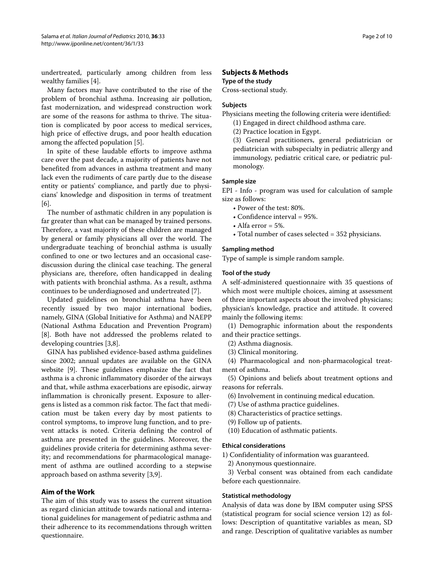undertreated, particularly among children from less wealthy families [[4\]](#page-8-3).

Many factors may have contributed to the rise of the problem of bronchial asthma. Increasing air pollution, fast modernization, and widespread construction work are some of the reasons for asthma to thrive. The situation is complicated by poor access to medical services, high price of effective drugs, and poor health education among the affected population [\[5](#page-8-4)].

In spite of these laudable efforts to improve asthma care over the past decade, a majority of patients have not benefited from advances in asthma treatment and many lack even the rudiments of care partly due to the disease entity or patients' compliance, and partly due to physicians' knowledge and disposition in terms of treatment [[6\]](#page-8-5).

The number of asthmatic children in any population is far greater than what can be managed by trained persons. Therefore, a vast majority of these children are managed by general or family physicians all over the world. The undergraduate teaching of bronchial asthma is usually confined to one or two lectures and an occasional casediscussion during the clinical case teaching. The general physicians are, therefore, often handicapped in dealing with patients with bronchial asthma. As a result, asthma continues to be underdiagnosed and undertreated [[7\]](#page-8-6).

Updated guidelines on bronchial asthma have been recently issued by two major international bodies, namely, GINA (Global Initiative for Asthma) and NAEPP (National Asthma Education and Prevention Program) [[8\]](#page-8-7). Both have not addressed the problems related to developing countries [\[3](#page-8-2)[,8](#page-8-7)].

GINA has published evidence-based asthma guidelines since 2002; annual updates are available on the GINA website [[9](#page-8-8)]. These guidelines emphasize the fact that asthma is a chronic inflammatory disorder of the airways and that, while asthma exacerbations are episodic, airway inflammation is chronically present. Exposure to allergens is listed as a common risk factor. The fact that medication must be taken every day by most patients to control symptoms, to improve lung function, and to prevent attacks is noted. Criteria defining the control of asthma are presented in the guidelines. Moreover, the guidelines provide criteria for determining asthma severity; and recommendations for pharmacological management of asthma are outlined according to a stepwise approach based on asthma severity [[3,](#page-8-2)[9\]](#page-8-8).

# **Aim of the Work**

The aim of this study was to assess the current situation as regard clinician attitude towards national and international guidelines for management of pediatric asthma and their adherence to its recommendations through written questionnaire.

# **Subjects & Methods**

# **Type of the study**

Cross-sectional study.

## **Subjects**

Physicians meeting the following criteria were identified:

- (1) Engaged in direct childhood asthma care.
- (2) Practice location in Egypt.

(3) General practitioners, general pediatrician or pediatrician with subspecialty in pediatric allergy and immunology, pediatric critical care, or pediatric pulmonology.

# **Sample size**

EPI - Info - program was used for calculation of sample size as follows:

- Power of the test: 80%.
- $\cdot$  Confidence interval = 95%.
- Alfa error  $= 5\%$ .
- Total number of cases selected = 352 physicians.

#### **Sampling method**

Type of sample is simple random sample.

#### **Tool of the study**

A self-administered questionnaire with 35 questions of which most were multiple choices, aiming at assessment of three important aspects about the involved physicians; physician's knowledge, practice and attitude. It covered mainly the following items:

(1) Demographic information about the respondents and their practice settings.

- (2) Asthma diagnosis.
- (3) Clinical monitoring.

(4) Pharmacological and non-pharmacological treatment of asthma.

(5) Opinions and beliefs about treatment options and reasons for referrals.

- (6) Involvement in continuing medical education.
- (7) Use of asthma practice guidelines.
- (8) Characteristics of practice settings.
- (9) Follow up of patients.
- (10) Education of asthmatic patients.

#### **Ethical considerations**

1) Confidentiality of information was guaranteed.

2) Anonymous questionnaire.

3) Verbal consent was obtained from each candidate before each questionnaire.

#### **Statistical methodology**

Analysis of data was done by IBM computer using SPSS (statistical program for social science version 12) as follows: Description of quantitative variables as mean, SD and range. Description of qualitative variables as number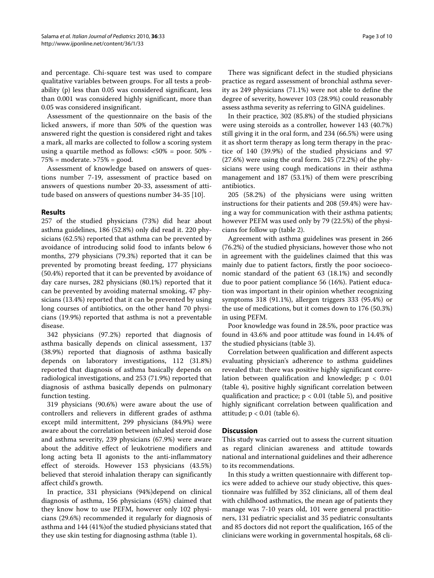and percentage. Chi-square test was used to compare qualitative variables between groups. For all tests a probability (p) less than 0.05 was considered significant, less than 0.001 was considered highly significant, more than 0.05 was considered insignificant.

Assessment of the questionnaire on the basis of the licked answers, if more than 50% of the question was answered right the question is considered right and takes a mark, all marks are collected to follow a scoring system using a quartile method as follows: **<**50% = poor. 50% - 75% = moderate. **>**75% = good.

Assessment of knowledge based on answers of questions number 7-19, assessment of practice based on answers of questions number 20-33, assessment of attitude based on answers of questions number 34-35 [\[10\]](#page-8-9).

#### **Results**

257 of the studied physicians (73%) did hear about asthma guidelines, 186 (52.8%) only did read it. 220 physicians (62.5%) reported that asthma can be prevented by avoidance of introducing solid food to infants below 6 months, 279 physicians (79.3%) reported that it can be prevented by promoting breast feeding, 177 physicians (50.4%) reported that it can be prevented by avoidance of day care nurses, 282 physicians (80.1%) reported that it can be prevented by avoiding maternal smoking, 47 physicians (13.4%) reported that it can be prevented by using long courses of antibiotics, on the other hand 70 physicians (19.9%) reported that asthma is not a preventable disease.

342 physicians (97.2%) reported that diagnosis of asthma basically depends on clinical assessment, 137 (38.9%) reported that diagnosis of asthma basically depends on laboratory investigations, 112 (31.8%) reported that diagnosis of asthma basically depends on radiological investigations, and 253 (71.9%) reported that diagnosis of asthma basically depends on pulmonary function testing.

319 physicians (90.6%) were aware about the use of controllers and relievers in different grades of asthma except mild intermittent, 299 physicians (84.9%) were aware about the correlation between inhaled steroid dose and asthma severity, 239 physicians (67.9%) were aware about the additive effect of leukotriene modifiers and long acting beta II agonists to the anti-inflammatory effect of steroids. However 153 physicians (43.5%) believed that steroid inhalation therapy can significantly affect child's growth.

In practice, 331 physicians (94%)depend on clinical diagnosis of asthma, 156 physicians (45%) claimed that they know how to use PEFM, however only 102 physicians (29.6%) recommended it regularly for diagnosis of asthma and 144 (41%)of the studied physicians stated that they use skin testing for diagnosing asthma (table 1).

There was significant defect in the studied physicians practice as regard assessment of bronchial asthma severity as 249 physicians (71.1%) were not able to define the degree of severity, however 103 (28.9%) could reasonably assess asthma severity as referring to GINA guidelines.

In their practice, 302 (85.8%) of the studied physicians were using steroids as a controller, however 143 (40.7%) still giving it in the oral form, and 234 (66.5%) were using it as short term therapy as long term therapy in the practice of 140 (39.9%) of the studied physicians and 97 (27.6%) were using the oral form. 245 (72.2%) of the physicians were using cough medications in their asthma management and 187 (53.1%) of them were prescribing antibiotics.

205 (58.2%) of the physicians were using written instructions for their patients and 208 (59.4%) were having a way for communication with their asthma patients; however PEFM was used only by 79 (22.5%) of the physicians for follow up (table 2).

Agreement with asthma guidelines was present in 266 (76.2%) of the studied physicians, however those who not in agreement with the guidelines claimed that this was mainly due to patient factors, firstly the poor socioeconomic standard of the patient 63 (18.1%) and secondly due to poor patient compliance 56 (16%). Patient education was important in their opinion whether recognizing symptoms 318 (91.1%), allergen triggers 333 (95.4%) or the use of medications, but it comes down to 176 (50.3%) in using PEFM.

Poor knowledge was found in 28.5%, poor practice was found in 43.6% and poor attitude was found in 14.4% of the studied physicians (table [3](#page-5-0)).

Correlation between qualification and different aspects evaluating physician's adherence to asthma guidelines revealed that: there was positive highly significant correlation between qualification and knowledge; p < 0.01 (table [4](#page-7-0)), positive highly significant correlation between qualification and practice;  $p < 0.01$  (table 5), and positive highly significant correlation between qualification and attitude;  $p < 0.01$  (table 6).

# **Discussion**

This study was carried out to assess the current situation as regard clinician awareness and attitude towards national and international guidelines and their adherence to its recommendations.

In this study a written questionnaire with different topics were added to achieve our study objective, this questionnaire was fulfilled by 352 clinicians, all of them deal with childhood asthmatics, the mean age of patients they manage was 7-10 years old, 101 were general practitioners, 131 pediatric specialist and 35 pediatric consultants and 85 doctors did not report the qualification, 165 of the clinicians were working in governmental hospitals, 68 cli-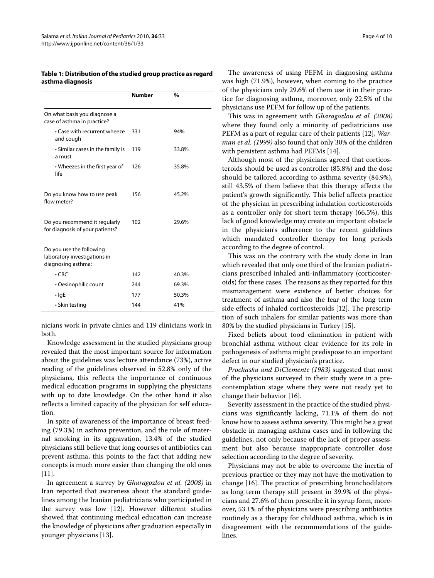#### **Table 1: Distribution of the studied group practice as regard asthma diagnosis**

|                                                                                | <b>Number</b> | %     |
|--------------------------------------------------------------------------------|---------------|-------|
| On what basis you diagnose a<br>case of asthma in practice?                    |               |       |
| • Case with recurrent wheeze<br>and cough                                      | 331           | 94%   |
| • Similar cases in the family is<br>a must                                     | 119           | 33.8% |
| • Wheezes in the first year of<br>life                                         | 126           | 35.8% |
| Do you know how to use peak<br>flow meter?                                     | 156           | 45.2% |
| Do you recommend it regularly<br>for diagnosis of your patients?               | 102           | 29.6% |
| Do you use the following<br>laboratory investigations in<br>diagnosing asthma: |               |       |
| CTFC                                                                           | 142           | 40.3% |
| • Oesinophilic count                                                           | 244           | 69.3% |
| $\cdot$ lgE                                                                    | 177           | 50.3% |
| • Skin testing                                                                 | 144           | 41%   |

nicians work in private clinics and 119 clinicians work in both.

Knowledge assessment in the studied physicians group revealed that the most important source for information about the guidelines was lecture attendance (73%), active reading of the guidelines observed in 52.8% only of the physicians, this reflects the importance of continuous medical education programs in supplying the physicians with up to date knowledge. On the other hand it also reflects a limited capacity of the physician for self education.

In spite of awareness of the importance of breast feeding (79.3%) in asthma prevention, and the role of maternal smoking in its aggravation, 13.4% of the studied physicians still believe that long courses of antibiotics can prevent asthma, this points to the fact that adding new concepts is much more easier than changing the old ones  $[11]$  $[11]$ .

In agreement a survey by *Gharagozlou et al. (2008)* in Iran reported that awareness about the standard guidelines among the Iranian pediatricians who participated in the survey was low [[12](#page-8-11)]. However different studies showed that continuing medical education can increase the knowledge of physicians after graduation especially in younger physicians [\[13\]](#page-8-12).

The awareness of using PEFM in diagnosing asthma was high (71.9%), however, when coming to the practice of the physicians only 29.6% of them use it in their practice for diagnosing asthma, moreover, only 22.5% of the physicians use PEFM for follow up of the patients.

This was in agreement with *Gharagozlou et al. (2008)* where they found only a minority of pediatricians use PEFM as a part of regular care of their patients [\[12\]](#page-8-11), *Warman et al. (1999)* also found that only 30% of the children with persistent asthma had PEFMs [[14\]](#page-9-0).

Although most of the physicians agreed that corticosteroids should be used as controller (85.8%) and the dose should be tailored according to asthma severity (84.9%), still 43.5% of them believe that this therapy affects the patient's growth significantly. This belief affects practice of the physician in prescribing inhalation corticosteroids as a controller only for short term therapy (66.5%), this lack of good knowledge may create an important obstacle in the physician's adherence to the recent guidelines which mandated controller therapy for long periods according to the degree of control.

This was on the contrary with the study done in Iran which revealed that only one third of the Iranian pediatricians prescribed inhaled anti-inflammatory (corticosteroids) for these cases. The reasons as they reported for this mismanagement were existence of better choices for treatment of asthma and also the fear of the long term side effects of inhaled corticosteroids [\[12](#page-8-11)]. The prescription of such inhalers for similar patients was more than 80% by the studied physicians in Turkey [\[15](#page-9-1)].

Fixed beliefs about food elimination in patient with bronchial asthma without clear evidence for its role in pathogenesis of asthma might predispose to an important defect in our studied physician's practice.

*Prochaska and DiClemente (1983)* suggested that most of the physicians surveyed in their study were in a precontemplation stage where they were not ready yet to change their behavior [[16](#page-9-2)].

Severity assessment in the practice of the studied physicians was significantly lacking, 71.1% of them do not know how to assess asthma severity. This might be a great obstacle in managing asthma cases and in following the guidelines, not only because of the lack of proper assessment but also because inappropriate controller dose selection according to the degree of severity.

Physicians may not be able to overcome the inertia of previous practice or they may not have the motivation to change [[16\]](#page-9-2). The practice of prescribing bronchodilators as long term therapy still present in 39.9% of the physicians and 27.6% of them prescribe it in syrup form, moreover, 53.1% of the physicians were prescribing antibiotics routinely as a therapy for childhood asthma, which is in disagreement with the recommendations of the guidelines.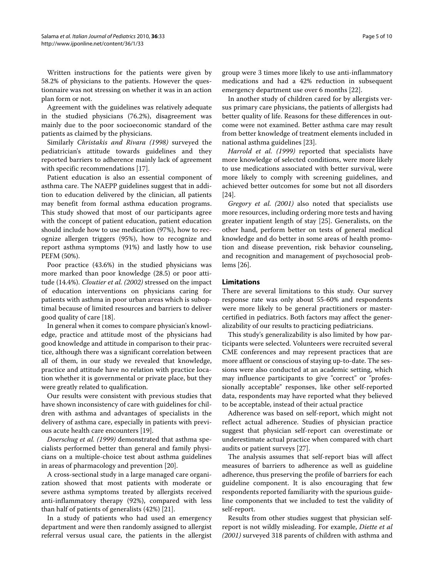Written instructions for the patients were given by 58.2% of physicians to the patients. However the questionnaire was not stressing on whether it was in an action plan form or not.

Agreement with the guidelines was relatively adequate in the studied physicians (76.2%), disagreement was mainly due to the poor socioeconomic standard of the patients as claimed by the physicians.

Similarly *Christakis and Rivara (1998)* surveyed the pediatrician's attitude towards guidelines and they reported barriers to adherence mainly lack of agreement with specific recommendations [\[17\]](#page-9-3).

Patient education is also an essential component of asthma care. The NAEPP guidelines suggest that in addition to education delivered by the clinician, all patients may benefit from formal asthma education programs. This study showed that most of our participants agree with the concept of patient education, patient education should include how to use medication (97%), how to recognize allergen triggers (95%), how to recognize and report asthma symptoms (91%) and lastly how to use PEFM (50%).

Poor practice (43.6%) in the studied physicians was more marked than poor knowledge (28.5) or poor attitude (14.4%). *Cloutier et al. (2002)* stressed on the impact of education interventions on physicians caring for patients with asthma in poor urban areas which is suboptimal because of limited resources and barriers to deliver good quality of care [[18\]](#page-9-4).

In general when it comes to compare physician's knowledge, practice and attitude most of the physicians had good knowledge and attitude in comparison to their practice, although there was a significant correlation between all of them, in our study we revealed that knowledge, practice and attitude have no relation with practice location whether it is governmental or private place, but they were greatly related to qualification.

Our results were consistent with previous studies that have shown inconsistency of care with guidelines for children with asthma and advantages of specialists in the delivery of asthma care, especially in patients with previous acute health care encounters [[19](#page-9-5)].

*Doerschug et al. (1999)* demonstrated that asthma specialists performed better than general and family physicians on a multiple-choice test about asthma guidelines in areas of pharmacology and prevention [[20\]](#page-9-6).

A cross-sectional study in a large managed care organization showed that most patients with moderate or severe asthma symptoms treated by allergists received anti-inflammatory therapy (92%), compared with less than half of patients of generalists (42%) [\[21\]](#page-9-7).

In a study of patients who had used an emergency department and were then randomly assigned to allergist referral versus usual care, the patients in the allergist group were 3 times more likely to use anti-inflammatory medications and had a 42% reduction in subsequent emergency department use over 6 months [[22\]](#page-9-8).

In another study of children cared for by allergists versus primary care physicians, the patients of allergists had better quality of life. Reasons for these differences in outcome were not examined. Better asthma care may result from better knowledge of treatment elements included in national asthma guidelines [\[23](#page-9-9)].

*Harrold et al. (1999)* reported that specialists have more knowledge of selected conditions, were more likely to use medications associated with better survival, were more likely to comply with screening guidelines, and achieved better outcomes for some but not all disorders [[24\]](#page-9-10).

*Gregory et al. (2001)* also noted that specialists use more resources, including ordering more tests and having greater inpatient length of stay [[25](#page-9-11)]. Generalists, on the other hand, perform better on tests of general medical knowledge and do better in some areas of health promotion and disease prevention, risk behavior counseling, and recognition and management of psychosocial problems [\[26](#page-9-12)].

#### **Limitations**

There are several limitations to this study. Our survey response rate was only about 55-60% and respondents were more likely to be general practitioners or mastercertified in pediatrics. Both factors may affect the generalizability of our results to practicing pediatricians.

This study's generalizability is also limited by how participants were selected. Volunteers were recruited several CME conferences and may represent practices that are more affluent or conscious of staying up-to-date. The sessions were also conducted at an academic setting, which may influence participants to give "correct" or "professionally acceptable" responses, like other self-reported data, respondents may have reported what they believed to be acceptable, instead of their actual practice

Adherence was based on self-report, which might not reflect actual adherence. Studies of physician practice suggest that physician self-report can overestimate or underestimate actual practice when compared with chart audits or patient surveys [\[27](#page-9-13)].

The analysis assumes that self-report bias will affect measures of barriers to adherence as well as guideline adherence, thus preserving the profile of barriers for each guideline component. It is also encouraging that few respondents reported familiarity with the spurious guideline components that we included to test the validity of self-report.

Results from other studies suggest that physician selfreport is not wildly misleading. For example, *Diette et al (2001)* surveyed 318 parents of children with asthma and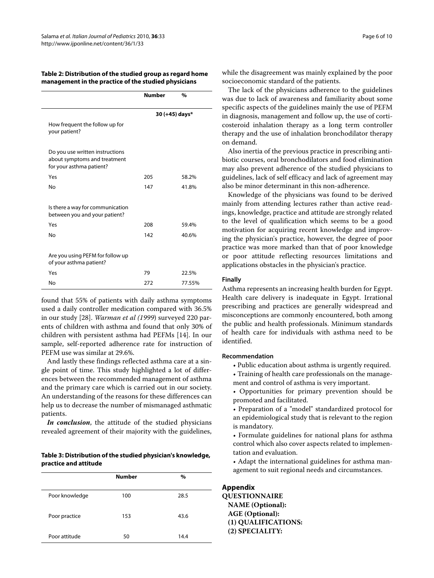#### **Table 2: Distribution of the studied group as regard home management in the practice of the studied physicians**

|                                                                                             | <b>Number</b> | $\frac{1}{2}$  |
|---------------------------------------------------------------------------------------------|---------------|----------------|
|                                                                                             |               | 30 (+45) days* |
| How frequent the follow up for<br>your patient?                                             |               |                |
| Do you use written instructions<br>about symptoms and treatment<br>for your asthma patient? |               |                |
| Yes                                                                                         | 205           | 58.2%          |
| No                                                                                          | 147           | 41.8%          |
| Is there a way for communication<br>between you and your patient?                           |               |                |
| Yes                                                                                         | 208           | 59.4%          |
| No                                                                                          | 142           | 40.6%          |
| Are you using PEFM for follow up<br>of your asthma patient?                                 |               |                |
| Yes                                                                                         | 79            | 22.5%          |
| No                                                                                          | 272           | 77.55%         |

found that 55% of patients with daily asthma symptoms used a daily controller medication compared with 36.5% in our study [[28\]](#page-9-14). *Warman et al (1999*) surveyed 220 parents of children with asthma and found that only 30% of children with persistent asthma had PEFMs [[14\]](#page-9-0). In our sample, self-reported adherence rate for instruction of PEFM use was similar at 29.6%.

And lastly these findings reflected asthma care at a single point of time. This study highlighted a lot of differences between the recommended management of asthma and the primary care which is carried out in our society. An understanding of the reasons for these differences can help us to decrease the number of mismanaged asthmatic patients.

*In conclusion*, the attitude of the studied physicians revealed agreement of their majority with the guidelines,

# <span id="page-5-0"></span>**Table 3: Distribution of the studied physician's knowledge, practice and attitude**

|                | <b>Number</b> | $\%$ |
|----------------|---------------|------|
| Poor knowledge | 100           | 28.5 |
| Poor practice  | 153           | 43.6 |
| Poor attitude  | 50            | 14.4 |

The lack of the physicians adherence to the guidelines was due to lack of awareness and familiarity about some specific aspects of the guidelines mainly the use of PEFM in diagnosis, management and follow up, the use of corticosteroid inhalation therapy as a long term controller therapy and the use of inhalation bronchodilator therapy on demand.

Also inertia of the previous practice in prescribing antibiotic courses, oral bronchodilators and food elimination may also prevent adherence of the studied physicians to guidelines, lack of self efficacy and lack of agreement may also be minor determinant in this non-adherence.

Knowledge of the physicians was found to be derived mainly from attending lectures rather than active readings, knowledge, practice and attitude are strongly related to the level of qualification which seems to be a good motivation for acquiring recent knowledge and improving the physician's practice, however, the degree of poor practice was more marked than that of poor knowledge or poor attitude reflecting resources limitations and applications obstacles in the physician's practice.

#### **Finally**

Asthma represents an increasing health burden for Egypt. Health care delivery is inadequate in Egypt. Irrational prescribing and practices are generally widespread and misconceptions are commonly encountered, both among the public and health professionals. Minimum standards of health care for individuals with asthma need to be identified.

#### **Recommendation**

• Public education about asthma is urgently required. • Training of health care professionals on the manage-

- ment and control of asthma is very important.
- Opportunities for primary prevention should be promoted and facilitated.
- Preparation of a "model" standardized protocol for an epidemiological study that is relevant to the region is mandatory.
- Formulate guidelines for national plans for asthma control which also cover aspects related to implementation and evaluation.
- Adapt the international guidelines for asthma management to suit regional needs and circumstances.

**Appendix QUESTIONNAIRE NAME (Optional): AGE (Optional): (1) QUALIFICATIONS: (2) SPECIALITY:**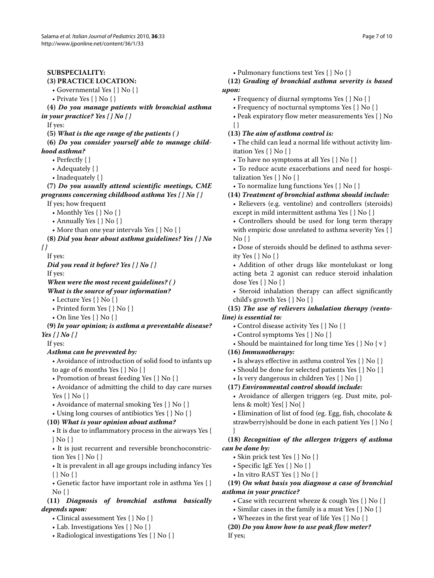**SUBSPECIALITY: (3) PRACTICE LOCATION:** • Governmental Yes  $\{\}$  No  $\{\}$ • Private Yes { } No { } **(4)** *Do you manage patients with bronchial asthma in your practice? Yes { } No { }* If yes: **(5)** *What is the age range of the patients ( )* **(6)** *Do you consider yourself able to manage childhood asthma?* • Perfectly { } • Adequately { } • Inadequately { } **(7)** *Do you usually attend scientific meetings, CME programs concerning childhood asthma Yes { } No { }* If yes; how frequent • Monthly Yes  $\{\}\$  No  $\{\}$ • Annually Yes { } No { } • More than one year intervals Yes { } No { } **(8)** *Did you hear about asthma guidelines? Yes { } No { }* If yes: *Did you read it before? Yes { } No { }* If yes: *When were the most recent guidelines? ( ) What is the source of your information?* • Lecture Yes { } No { } • Printed form Yes { } No { }  $\bullet$  On line Yes  $\{\}\$  No  $\{\}$ **(9)** *In your opinion; is asthma a preventable disease? Yes { } No { }* If yes: *Asthma can be prevented by:* • Avoidance of introduction of solid food to infants up to age of 6 months Yes  $\{\}\$  No  $\{\}$ • Promotion of breast feeding Yes { } No { } • Avoidance of admitting the child to day care nurses Yes { } No { } • Avoidance of maternal smoking Yes { } No { } • Using long courses of antibiotics Yes { } No { } **(10)** *What is your opinion about asthma?* • It is due to inflammatory process in the airways Yes { } No { } • It is just recurrent and reversible bronchoconstriction Yes { } No { } • It is prevalent in all age groups including infancy Yes  $\{ \}$  No  $\{ \}$ • Genetic factor have important role in asthma Yes { }  $No$  { } **(11)** *Diagnosis of bronchial asthma basically depends upon:*

- Clinical assessment Yes { } No { }
- Lab. Investigations Yes { } No { }
- Radiological investigations Yes { } No { }

```
• Pulmonary functions test Yes { } No { }
```
**(12)** *Grading of bronchial asthma severity is based upon:*

- Frequency of diurnal symptoms Yes { } No { }
- Frequency of nocturnal symptoms Yes  $\{ \}$  No  $\{ \}$
- Peak expiratory flow meter measurements Yes { } No { }
- **(13)** *The aim of asthma control is:*

• The child can lead a normal life without activity limitation Yes { } No { }

- To have no symptoms at all Yes  $\{ \}$  No  $\{ \}$
- To reduce acute exacerbations and need for hospitalization Yes { } No { }
- To normalize lung functions Yes { } No { }
- **(14)** *Treatment of bronchial asthma should include:* • Relievers (e.g. ventoline) and controllers (steroids) except in mild intermittent asthma Yes { } No { }
	- Controllers should be used for long term therapy with empiric dose unrelated to asthma severity Yes { }  $No$  { }

• Dose of steroids should be defined to asthma severity Yes { } No { }

• Addition of other drugs like montelukast or long acting beta 2 agonist can reduce steroid inhalation dose Yes { } No { }

• Steroid inhalation therapy can affect significantly child's growth Yes { } No { }

# **(15)** *The use of relievers inhalation therapy (ventoline) is essential to:*

- Control disease activity Yes { } No { }
- Control symptoms Yes  $\{ \}$  No  $\{ \}$
- Should be maintained for long time Yes  $\{ \}$  No  $\{ v \}$
- **(16)** *Immunotherapy:*
	- Is always effective in asthma control Yes { } No { }
	- Should be done for selected patients Yes { } No { }
	- Is very dangerous in children Yes { } No { }

# **(17)** *Environmental control should include:*

• Avoidance of allergen triggers (eg. Dust mite, pollens & molt) Yes{ } No{ }

• Elimination of list of food (eg. Egg, fish, chocolate & strawberry)should be done in each patient Yes { } No { }

**(18)** *Recognition of the allergen triggers of asthma can be done by:*

- Skin prick test Yes  $\{\}\$  No  $\{\}$
- Specific IgE Yes { } No { }
- In vitro RAST Yes { } No { }

# **(19)** *On what basis you diagnose a case of bronchial asthma in your practice?*

- Case with recurrent wheeze & cough Yes  $\{ \}$  No  $\{ \}$
- Similar cases in the family is a must Yes  $\{\}\$  No  $\{\}$
- Wheezes in the first year of life Yes  $\{ \}$  No  $\{ \}$
- **(20)** *Do you know how to use peak flow meter?* If yes;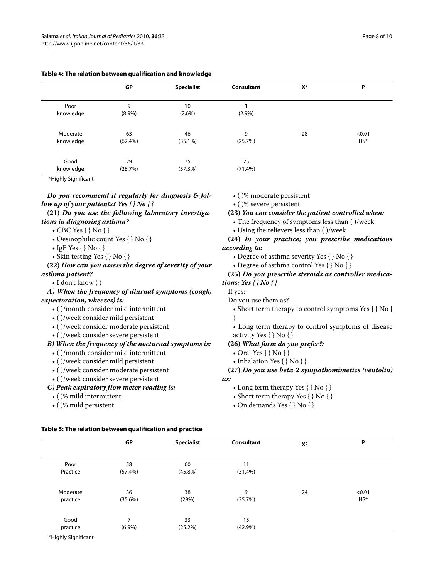|           | GP         | <b>Specialist</b> | <b>Consultant</b> | $X^2$ | P      |
|-----------|------------|-------------------|-------------------|-------|--------|
| Poor      | 9          | 10                |                   |       |        |
| knowledge | $(8.9\%)$  | $(7.6\%)$         | $(2.9\%)$         |       |        |
| Moderate  | 63         | 46                | 9                 | 28    | < 0.01 |
| knowledge | $(62.4\%)$ | $(35.1\%)$        | (25.7%)           |       | $HS^*$ |
| Good      | 29         | 75                | 25                |       |        |
| knowledge | (28.7%)    | (57.3%)           | $(71.4\%)$        |       |        |

#### <span id="page-7-0"></span>**Table 4: The relation between qualification and knowledge**

\*Highly Significant

*Do you recommend it regularly for diagnosis & follow up of your patients? Yes { } No { }*

**(21)** *Do you use the following laboratory investigations in diagnosing asthma?*

- CBC Yes  $\{ \}$  No  $\{ \}$
- Oesinophilic count Yes { } No { }
- IgE Yes  $\{\}\$  No  $\{\}$

• Skin testing Yes  $\{ \}$  No  $\{ \}$ 

**(22)** *How can you assess the degree of severity of your asthma patient?*

• I don't know ( )

*A) When the frequency of diurnal symptoms (cough, expectoration, wheezes) is:*

- ( )/month consider mild intermittent
- ( )/week consider mild persistent
- ( )/week consider moderate persistent
- ( )/week consider severe persistent

#### *B) When the frequency of the nocturnal symptoms is:*

- ( )/month consider mild intermittent
- ( )/week consider mild persistent
- ( )/week consider moderate persistent
- ( )/week consider severe persistent

## *C) Peak expiratory flow meter reading is:*

- ( )% mild intermittent
- ( )% mild persistent

• ( )% moderate persistent

• ( )% severe persistent

**(23)** *You can consider the patient controlled when:*

• The frequency of symptoms less than ( )/week

• Using the relievers less than ( )/week.

**(24)** *In your practice; you prescribe medications according to:*

• Degree of asthma severity Yes  $\{ \}$  No  $\{ \}$ 

• Degree of asthma control Yes  $\{ \}$  No  $\{ \}$ 

**(25)** *Do you prescribe steroids as controller medications: Yes { } No { }*

#### If yes:

- Do you use them as?
	- Short term therapy to control symptoms Yes { } No { }

• Long term therapy to control symptoms of disease activity Yes { } No { }

#### **(26)** *What form do you prefer?:*

- Oral Yes  $\{\}\$  No  $\{\}$
- Inhalation Yes { } No { }

**(27)** *Do you use beta 2 sympathomimetics (ventolin)*

*as:*

- Long term therapy Yes  $\{ \}$  No  $\{ \}$
- Short term therapy Yes  $\{\}\$  No  $\{\}$
- On demands Yes { } No { }

#### **Table 5: The relation between qualification and practice**

|          | GP             | <b>Specialist</b> | <b>Consultant</b> | $X^2$ | P      |
|----------|----------------|-------------------|-------------------|-------|--------|
| Poor     | 58             | 60                | 11                |       |        |
| Practice | $(57.4\%)$     | $(45.8\%)$        | $(31.4\%)$        |       |        |
| Moderate | 36             | 38                | 9                 | 24    | < 0.01 |
| practice | $(35.6\%)$     | (29%)             | (25.7%)           |       | HS*    |
| Good     | $\overline{7}$ | 33                | 15                |       |        |
| practice | $(6.9\%)$      | $(25.2\%)$        | $(42.9\%)$        |       |        |

\*Highly Significant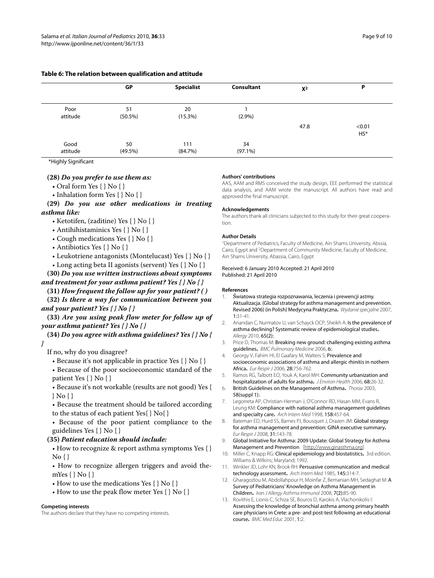#### **Table 6: The relation between qualification and attitude**

|                        | GP         | <b>Specialist</b> | Consultant | $X^2$ | D      |
|------------------------|------------|-------------------|------------|-------|--------|
| Poor                   | 51         | 20                |            |       |        |
| attitude<br>$(50.5\%)$ |            | (15.3%)           | $(2.9\%)$  |       |        |
|                        |            |                   |            | 47.8  | < 0.01 |
|                        |            |                   |            | HS*   |        |
| Good                   | 50         | 111               | 34         |       |        |
| attitude               | $(49.5\%)$ | (84.7%)           | $(97.1\%)$ |       |        |

\*Highly Significant

#### **(28)** *Do you prefer to use them as:*

• Oral form Yes  $\{\}\$  No  $\{\}$ 

• Inhalation form Yes  $\{ \}$  No  $\{ \}$ 

**(29)** *Do you use other medications in treating asthma like:*

• Ketotifen, (zaditine) Yes { } No { }

• Antihihistaminics Yes { } No { }

• Cough medications Yes { } No { }

• Antibiotics Yes { } No { }

• Leukotriene antagonists (Montelucast) Yes { } No { }

• Long acting beta II agonists (servent) Yes { } No { }

# **(30)** *Do you use written instructions about symptoms and treatment for your asthma patient? Yes { } No { }*

**(31)** *How frequent the follow up for your patient? ( )*

**(32)** *Is there a way for communication between you and your patient? Yes { } No { }*

**(33)** *Are you using peak flow meter for follow up of your asthma patient? Yes { } No { }*

# **(34)** *Do you agree with asthma guidelines? Yes { } No { }*

If no, why do you disagree?

• Because it's not applicable in practice Yes { } No { }

• Because of the poor socioeconomic standard of the patient Yes { } No { }

• Because it's not workable (results are not good) Yes { } No { }

• Because the treatment should be tailored according to the status of each patient Yes{ } No{ }

• Because of the poor patient compliance to the guidelines Yes { } No { }

#### **(35)** *Patient education should include:*

• How to recognize & report asthma symptoms Yes  $\{\}$  $N_0$   $\{$   $\}$ 

• How to recognize allergen triggers and avoid themYes { } No { }

- How to use the medications Yes  $\{ \}$  No  $\{ \}$
- How to use the peak flow meter Yes  $\{\}$  No  $\{\}$

#### **Competing interests**

The authors declare that they have no competing interests.

#### **Authors' contributions**

AAS, AAM and RMS conceived the study design, EEE performed the statistical data analysis, and AAM wrote the manuscript. All authors have read and approved the final manuscript.

#### **Acknowledgements**

The authors thank all clinicians subjected to this study for their great cooperation.

#### **Author Details**

1Department of Pediatrics, Faculty of Medicine, Ain Shams University, Abssia, Cairo, Egypt and 2Department of Community Medicine, Faculty of Medicine, Ain Shams University, Abassia, Cairo, Egypt

Received: 6 January 2010 Accepted: 21 April 2010 Published: 21 April 2010

#### **References**

- <span id="page-8-0"></span>Światowa strategia rozpoznawania, leczenia i prewencji astmy. Aktualizacia. (Global strategy for asthma management and prevention. Revised 2006) (in Polish) Medycyna Praktyczna**.** Wydanie specjalne 2007, 1:31-41.
- <span id="page-8-1"></span>2. Anandan C, Nurmatov U, van Schayck OCP, Sheikh A: Is the prevalence of asthma declining? Systematic review of epidemiological studies**.** Allergy 2010, 65(2):.
- <span id="page-8-2"></span>3. Price D, Thomas M: Breaking new ground: challenging existing asthma guidelines**.** BMC Pulmonary Medicine 2006, 6:.
- <span id="page-8-3"></span>4. Georgy V, Fahim HI, El Gaafary M, Walters S: Prevalence and socioeconomic associations of asthma and allergic rhinitis in nothern Africa**.** Eur Respir J 2006, 28:756-762.
- <span id="page-8-4"></span>5. Ramos RG, Talbott EO, Youk A, Karol MH: Community urbanization and hospitalization of adults for asthma**[.](http://www.ncbi.nlm.nih.gov/entrez/query.fcgi?cmd=Retrieve&db=PubMed&dopt=Abstract&list_uids=16637560)** J Environ Health 2006, 68:26-32.
- <span id="page-8-5"></span>6. British Guidelines on the Management of Asthma**.** Thorax 2003, 58(suppl 1):.
- <span id="page-8-6"></span>7. Legorreta AP, Christian-Herman J, O'Connor RD, Hasan MM, Evans R, Leung KM: Compliance with national asthma management guidelines and specialty care**.** Arch Intern Med 1998, 158:457-64.
- <span id="page-8-7"></span>8. Bateman ED, Hurd SS, Barnes PJ, Bousquet J, Drazen JM: Global strategy for asthma management and prevention: GINA executive summary**.** Eur Respir J 2008, 31:143-78.
- <span id="page-8-8"></span>9. Global Initiative for Asthma: 2009 Update: Global Strategy for Asthma Management and Prevention [[http://www.ginasthma.org\]](http://www.ginasthma.org)
- <span id="page-8-9"></span>10. Miller C, Knapp RG: Clinical epidemiology and biostatistics**.** 3rd edition. Williams & Wilkins; Maryland; 1992.
- <span id="page-8-10"></span>11. Winkler JD, Lohr KN, Brook RH: Persuasive communication and medical technology assessment**.** Arch Intern Med 1985, 145:314-7.
- <span id="page-8-11"></span>12. Gharagozlou M, Abdollahpour H, Moinfar Z, Bemanian MH, Sedaghat M: A Survey of Pediatricians' Knowledge on Asthma Management in Children**.** Iran J Allergy Asthma Immunol 2008, 7(2):85-90.
- <span id="page-8-12"></span>13. Rovithis E, Lionis C, Schiza SE, Bouros D, Karokis A, Vlachonikolis I: Assessing the knowledge of bronchial asthma among primary health care physicians in Crete: a pre- and post-test following an educational course**[.](http://www.ncbi.nlm.nih.gov/entrez/query.fcgi?cmd=Retrieve&db=PubMed&dopt=Abstract&list_uids=11511327)** BMC Med Educ 2001, 1:2.